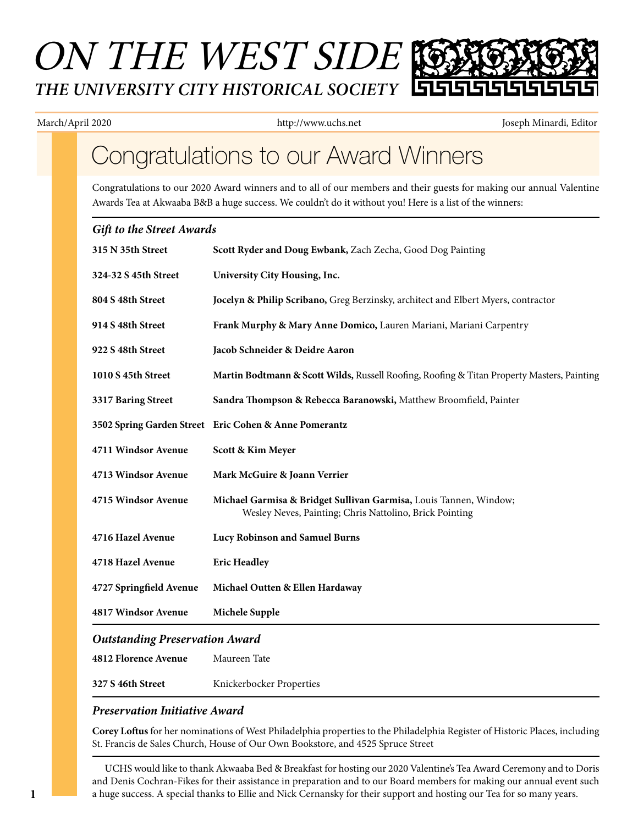# ON THE WEST SIDE *THE UNIVERSITY CITY HISTORICAL SOCIETY*

March/April 2020 http://www.uchs.net Joseph Minardi, Editor

### Congratulations to our Award Winners

Congratulations to our 2020 Award winners and to all of our members and their guests for making our annual Valentine Awards Tea at Akwaaba B&B a huge success. We couldn't do it without you! Here is a list of the winners:

#### *Gift to the Street Awards*

| 315 N 35th Street                     | Scott Ryder and Doug Ewbank, Zach Zecha, Good Dog Painting                                                                   |
|---------------------------------------|------------------------------------------------------------------------------------------------------------------------------|
| 324-32 S 45th Street                  | University City Housing, Inc.                                                                                                |
| 804 S 48th Street                     | Jocelyn & Philip Scribano, Greg Berzinsky, architect and Elbert Myers, contractor                                            |
| 914 S 48th Street                     | Frank Murphy & Mary Anne Domico, Lauren Mariani, Mariani Carpentry                                                           |
| 922 S 48th Street                     | Jacob Schneider & Deidre Aaron                                                                                               |
| 1010 S 45th Street                    | Martin Bodtmann & Scott Wilds, Russell Roofing, Roofing & Titan Property Masters, Painting                                   |
| 3317 Baring Street                    | Sandra Thompson & Rebecca Baranowski, Matthew Broomfield, Painter                                                            |
|                                       | 3502 Spring Garden Street Eric Cohen & Anne Pomerantz                                                                        |
| 4711 Windsor Avenue                   | Scott & Kim Meyer                                                                                                            |
| 4713 Windsor Avenue                   | Mark McGuire & Joann Verrier                                                                                                 |
| 4715 Windsor Avenue                   | Michael Garmisa & Bridget Sullivan Garmisa, Louis Tannen, Window;<br>Wesley Neves, Painting; Chris Nattolino, Brick Pointing |
| 4716 Hazel Avenue                     | Lucy Robinson and Samuel Burns                                                                                               |
| 4718 Hazel Avenue                     | <b>Eric Headley</b>                                                                                                          |
| 4727 Springfield Avenue               | Michael Outten & Ellen Hardaway                                                                                              |
| 4817 Windsor Avenue                   | Michele Supple                                                                                                               |
| <b>Outstanding Preservation Award</b> |                                                                                                                              |
| 4812 Florence Avenue                  | Maureen Tate                                                                                                                 |
| 327 S 46th Street                     | Knickerbocker Properties                                                                                                     |

#### *Preservation Initiative Award*

**Corey Loftus** for her nominations of West Philadelphia properties to the Philadelphia Register of Historic Places, including St. Francis de Sales Church, House of Our Own Bookstore, and 4525 Spruce Street

UCHS would like to thank Akwaaba Bed & Breakfast for hosting our 2020 Valentine's Tea Award Ceremony and to Doris and Denis Cochran-Fikes for their assistance in preparation and to our Board members for making our annual event such a huge success. A special thanks to Ellie and Nick Cernansky for their support and hosting our Tea for so many years.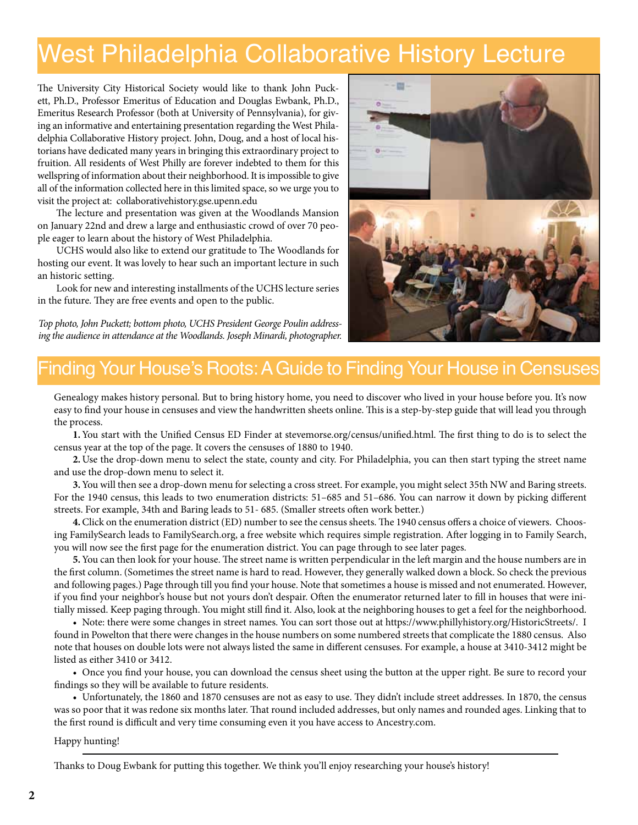## West Philadelphia Collaborative History Lecture

The University City Historical Society would like to thank John Puckett, Ph.D., Professor Emeritus of Education and Douglas Ewbank, Ph.D., Emeritus Research Professor (both at University of Pennsylvania), for giving an informative and entertaining presentation regarding the West Philadelphia Collaborative History project. John, Doug, and a host of local historians have dedicated many years in bringing this extraordinary project to fruition. All residents of West Philly are forever indebted to them for this wellspring of information about their neighborhood. It is impossible to give all of the information collected here in this limited space, so we urge you to visit the project at: collaborativehistory.gse.upenn.edu

The lecture and presentation was given at the Woodlands Mansion on January 22nd and drew a large and enthusiastic crowd of over 70 people eager to learn about the history of West Philadelphia.

UCHS would also like to extend our gratitude to The Woodlands for hosting our event. It was lovely to hear such an important lecture in such an historic setting.

Look for new and interesting installments of the UCHS lecture series in the future. They are free events and open to the public.

*Top photo, John Puckett; bottom photo, UCHS President George Poulin addressing the audience in attendance at the Woodlands. Joseph Minardi, photographer.*



### Finding Your House's Roots: A Guide to Finding Your House in Censuses

Genealogy makes history personal. But to bring history home, you need to discover who lived in your house before you. It's now easy to find your house in censuses and view the handwritten sheets online. This is a step-by-step guide that will lead you through the process.

**1.**You start with the Unified Census ED Finder at stevemorse.org/census/unified.html. The first thing to do is to select the census year at the top of the page. It covers the censuses of 1880 to 1940.

**2.**Use the drop-down menu to select the state, county and city. For Philadelphia, you can then start typing the street name and use the drop-down menu to select it.

**3.**You will then see a drop-down menu for selecting a cross street. For example, you might select 35th NW and Baring streets. For the 1940 census, this leads to two enumeration districts: 51–685 and 51–686. You can narrow it down by picking different streets. For example, 34th and Baring leads to 51- 685. (Smaller streets often work better.)

**4.**Click on the enumeration district (ED) number to see the census sheets. The 1940 census offers a choice of viewers. Choosing FamilySearch leads to FamilySearch.org, a free website which requires simple registration. After logging in to Family Search, you will now see the first page for the enumeration district. You can page through to see later pages.

**5.**You can then look for your house. The street name is written perpendicular in the left margin and the house numbers are in the first column. (Sometimes the street name is hard to read. However, they generally walked down a block. So check the previous and following pages.) Page through till you find your house. Note that sometimes a house is missed and not enumerated. However, if you find your neighbor's house but not yours don't despair. Often the enumerator returned later to fill in houses that were initially missed. Keep paging through. You might still find it. Also, look at the neighboring houses to get a feel for the neighborhood.

 • Note: there were some changes in street names. You can sort those out at https://www.phillyhistory.org/HistoricStreets/. I found in Powelton that there were changes in the house numbers on some numbered streets that complicate the 1880 census. Also note that houses on double lots were not always listed the same in different censuses. For example, a house at 3410-3412 might be listed as either 3410 or 3412.

 • Once you find your house, you can download the census sheet using the button at the upper right. Be sure to record your findings so they will be available to future residents.

 • Unfortunately, the 1860 and 1870 censuses are not as easy to use. They didn't include street addresses. In 1870, the census was so poor that it was redone six months later. That round included addresses, but only names and rounded ages. Linking that to the first round is difficult and very time consuming even it you have access to Ancestry.com.

#### Happy hunting!

Thanks to Doug Ewbank for putting this together. We think you'll enjoy researching your house's history!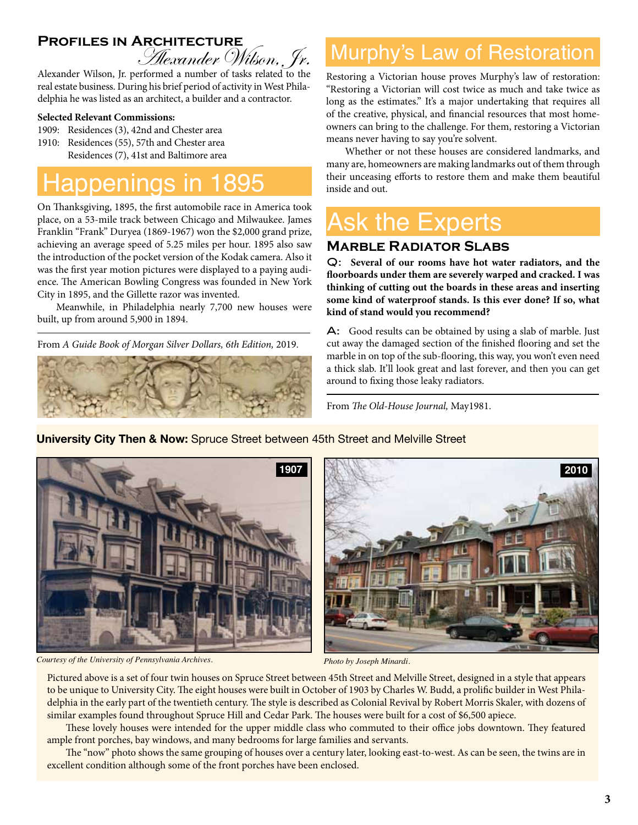# **Profiles in Architecture**<br>Alexander Wilson, Jr.

Alexander Wilson, Jr. performed a number of tasks related to the real estate business. During his brief period of activity in West Philadelphia he was listed as an architect, a builder and a contractor.

#### **Selected Relevant Commissions:**

- 1909: Residences (3), 42nd and Chester area
- 1910: Residences (55), 57th and Chester area Residences (7), 41st and Baltimore area

### ppenings in 1895

On Thanksgiving, 1895, the first automobile race in America took place, on a 53-mile track between Chicago and Milwaukee. James Franklin "Frank" Duryea (1869-1967) won the \$2,000 grand prize, achieving an average speed of 5.25 miles per hour. 1895 also saw the introduction of the pocket version of the Kodak camera. Also it was the first year motion pictures were displayed to a paying audience. The American Bowling Congress was founded in New York City in 1895, and the Gillette razor was invented.

 Meanwhile, in Philadelphia nearly 7,700 new houses were built, up from around 5,900 in 1894.

From *A Guide Book of Morgan Silver Dollars, 6th Edition,* 2019.



### Murphy's Law of Restoration

Restoring a Victorian house proves Murphy's law of restoration: "Restoring a Victorian will cost twice as much and take twice as long as the estimates." It's a major undertaking that requires all of the creative, physical, and financial resources that most homeowners can bring to the challenge. For them, restoring a Victorian means never having to say you're solvent.

Whether or not these houses are considered landmarks, and many are, homeowners are making landmarks out of them through their unceasing efforts to restore them and make them beautiful inside and out.

## **Ask the Experts**

#### **Marble Radiator Slabs**

Q: **Several of our rooms have hot water radiators, and the floorboards under them are severely warped and cracked. I was thinking of cutting out the boards in these areas and inserting some kind of waterproof stands. Is this ever done? If so, what kind of stand would you recommend?**

A: Good results can be obtained by using a slab of marble. Just cut away the damaged section of the finished flooring and set the marble in on top of the sub-flooring, this way, you won't even need a thick slab. It'll look great and last forever, and then you can get around to fixing those leaky radiators.

From *The Old-House Journal,* May1981.

**University City Then & Now:** Spruce Street between 45th Street and Melville Street





*Courtesy of the University of Pennsylvania Archives. Photo by Joseph Minardi.* Pictured above is a set of four twin houses on Spruce Street between 45th Street and Melville Street, designed in a style that appears to be unique to University City. The eight houses were built in October of 1903 by Charles W. Budd, a prolific builder in West Philadelphia in the early part of the twentieth century. The style is described as Colonial Revival by Robert Morris Skaler, with dozens of similar examples found throughout Spruce Hill and Cedar Park. The houses were built for a cost of \$6,500 apiece.

These lovely houses were intended for the upper middle class who commuted to their office jobs downtown. They featured ample front porches, bay windows, and many bedrooms for large families and servants.

The "now" photo shows the same grouping of houses over a century later, looking east-to-west. As can be seen, the twins are in excellent condition although some of the front porches have been enclosed.